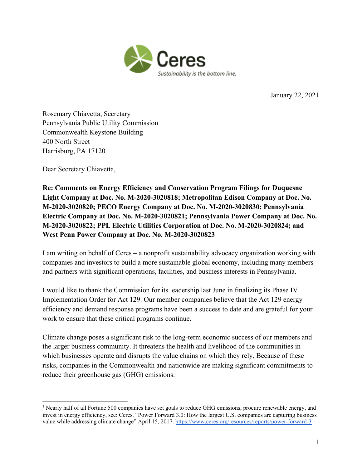

January 22, 2021

Rosemary Chiavetta, Secretary Pennsylvania Public Utility Commission Commonwealth Keystone Building 400 North Street Harrisburg, PA 17120

Dear Secretary Chiavetta,

**Re: Comments on Energy Efficiency and Conservation Program Filings for Duquesne Light Company at Doc. No. M-2020-3020818; Metropolitan Edison Company at Doc. No. M-2020-3020820; PECO Energy Company at Doc. No. M-2020-3020830; Pennsylvania Electric Company at Doc. No. M-2020-3020821; Pennsylvania Power Company at Doc. No. M-2020-3020822; PPL Electric Utilities Corporation at Doc. No. M-2020-3020824; and West Penn Power Company at Doc. No. M-2020-3020823**

I am writing on behalf of Ceres – a nonprofit sustainability advocacy organization working with companies and investors to build a more sustainable global economy, including many members and partners with significant operations, facilities, and business interests in Pennsylvania.

I would like to thank the Commission for its leadership last June in finalizing its Phase IV Implementation Order for Act 129. Our member companies believe that the Act 129 energy efficiency and demand response programs have been a success to date and are grateful for your work to ensure that these critical programs continue.

Climate change poses a significant risk to the long-term economic success of our members and the larger business community. It threatens the health and livelihood of the communities in which businesses operate and disrupts the value chains on which they rely. Because of these risks, companies in the Commonwealth and nationwide are making significant commitments to reduce their greenhouse gas (GHG) emissions.<sup>1</sup>

<sup>&</sup>lt;sup>1</sup> Nearly half of all Fortune 500 companies have set goals to reduce GHG emissions, procure renewable energy, and invest in energy efficiency, see: Ceres. "Power Forward 3.0: How the largest U.S. companies are capturing business value while addressing climate change" April 15, 2017[.](https://www.ceres.org/resources/reports/power-forward-3) <https://www.ceres.org/resources/reports/power-forward-3>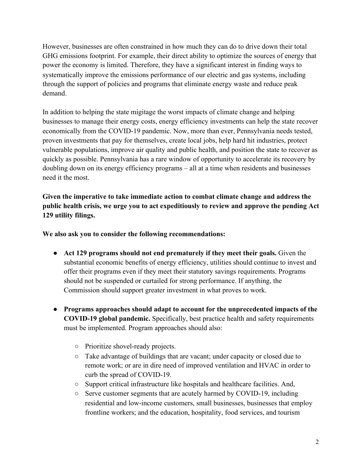However, businesses are often constrained in how much they can do to drive down their total GHG emissions footprint. For example, their direct ability to optimize the sources of energy that power the economy is limited. Therefore, they have a significant interest in finding ways to systematically improve the emissions performance of our electric and gas systems, including through the support of policies and programs that eliminate energy waste and reduce peak demand.

In addition to helping the state migitage the worst impacts of climate change and helping businesses to manage their energy costs, energy efficiency investments can help the state recover economically from the COVID-19 pandemic. Now, more than ever, Pennsylvania needs tested, proven investments that pay for themselves, create local jobs, help hard hit industries, protect vulnerable populations, improve air quality and public health, and position the state to recover as quickly as possible. Pennsylvania has a rare window of opportunity to accelerate its recovery by doubling down on its energy efficiency programs – all at a time when residents and businesses need it the most.

**Given the imperative to take immediate action to combat climate change and address the public health crisis, we urge you to act expeditiously to review and approve the pending Act 129 utility filings.**

**We also ask you to consider the following recommendations:**

- **Act 129 programs should not end prematurely if they meet their goals.** Given the substantial economic benefits of energy efficiency, utilities should continue to invest and offer their programs even if they meet their statutory savings requirements. Programs should not be suspended or curtailed for strong performance. If anything, the Commission should support greater investment in what proves to work.
- **Programs approaches should adapt to account for the unprecedented impacts of the COVID-19 global pandemic.** Specifically, best practice health and safety requirements must be implemented. Program approaches should also:
	- Prioritize shovel-ready projects.
	- Take advantage of buildings that are vacant; under capacity or closed due to remote work; or are in dire need of improved ventilation and HVAC in order to curb the spread of COVID-19.
	- Support critical infrastructure like hospitals and healthcare facilities. And,
	- Serve customer segments that are acutely harmed by COVID-19, including residential and low-income customers, small businesses, businesses that employ frontline workers; and the education, hospitality, food services, and tourism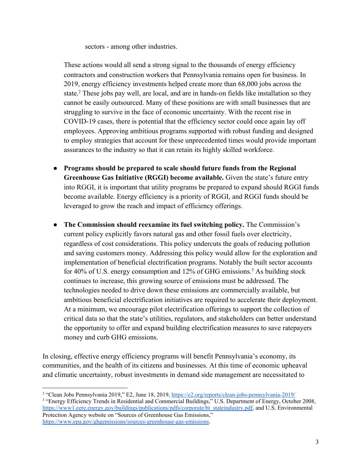sectors - among other industries.

These actions would all send a strong signal to the thousands of energy efficiency contractors and construction workers that Pennsylvania remains open for business. In 2019, energy efficiency investments helped create more than 68,000 jobs across the state.<sup>2</sup> These jobs pay well, are local, and are in hands-on fields like installation so they cannot be easily outsourced. Many of these positions are with small businesses that are struggling to survive in the face of economic uncertainty. With the recent rise in COVID-19 cases, there is potential that the efficiency sector could once again lay off employees. Approving ambitious programs supported with robust funding and designed to employ strategies that account for these unprecedented times would provide important assurances to the industry so that it can retain its highly skilled workforce.

- **Programs should be prepared to scale should future funds from the Regional Greenhouse Gas Initiative (RGGI) become available.** Given the state's future entry into RGGI, it is important that utility programs be prepared to expand should RGGI funds become available. Energy efficiency is a priority of RGGI, and RGGI funds should be leveraged to grow the reach and impact of efficiency offerings.
- **The Commission should reexamine its fuel switching policy.** The Commission's current policy explicitly favors natural gas and other fossil fuels over electricity, regardless of cost considerations. This policy undercuts the goals of reducing pollution and saving customers money. Addressing this policy would allow for the exploration and implementation of beneficial electrification programs. Notably the built sector accounts for 40% of U.S. energy consumption and  $12%$  of GHG emissions.<sup>3</sup> As building stock continues to increase, this growing source of emissions must be addressed. The technologies needed to drive down these emissions are commercially available, but ambitious beneficial electrification initiatives are required to accelerate their deployment. At a minimum, we encourage pilot electrification offerings to support the collection of critical data so that the state's utilities, regulators, and stakeholders can better understand the opportunity to offer and expand building electrification measures to save ratepayers money and curb GHG emissions.

In closing, effective energy efficiency programs will benefit Pennsylvania's economy, its communities, and the health of its citizens and businesses. At this time of economic upheaval and climatic uncertainty, robust investments in demand side management are necessitated to

<sup>2</sup> "Clean Jobs Pennsylvania 2019," E2, June 18, 2019, https://e2.org/reports/clean-jobs-pennsylvania-2019/ <sup>3</sup> "Energy Efficiency Trends in Residential and [Commercial](https://www1.eere.energy.gov/buildings/publications/pdfs/corporate/bt_stateindustry.pdf) Buildings," U.S. Department of Energy, October 2008, [https://www1.eere.energy.gov/buildings/publications/pdfs/corporate/bt\\_stateindustry.pdf,](https://www1.eere.energy.gov/buildings/publications/pdfs/corporate/bt_stateindustry.pdf) and U.S. Environmental Protection Agency website on "Sources of Greenhouse Gas Emissions," <https://www.epa.gov/ghgemissions/sources-greenhouse-gas-emissions>.